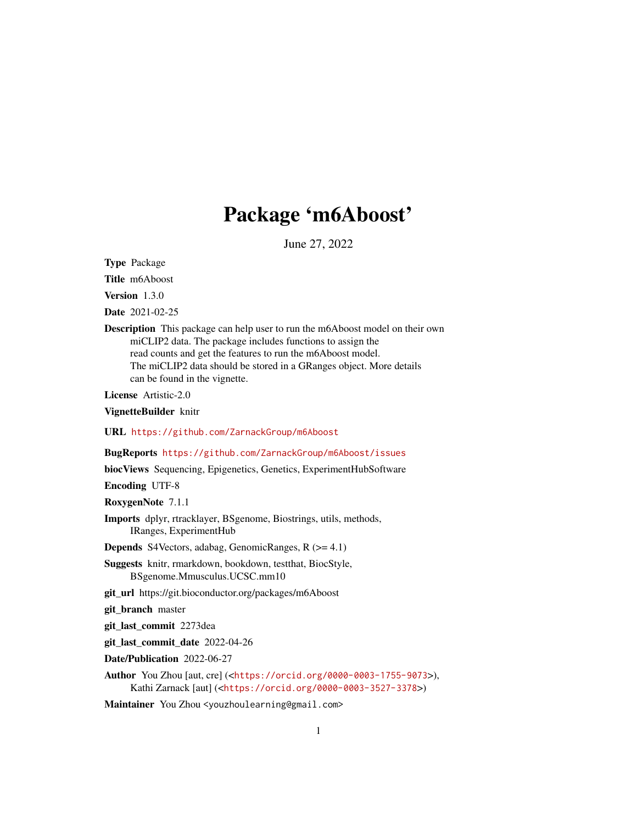## Package 'm6Aboost'

June 27, 2022

Type Package

Title m6Aboost

Version 1.3.0

Date 2021-02-25

Description This package can help user to run the m6Aboost model on their own miCLIP2 data. The package includes functions to assign the read counts and get the features to run the m6Aboost model. The miCLIP2 data should be stored in a GRanges object. More details can be found in the vignette.

License Artistic-2.0

VignetteBuilder knitr

URL <https://github.com/ZarnackGroup/m6Aboost>

BugReports <https://github.com/ZarnackGroup/m6Aboost/issues>

biocViews Sequencing, Epigenetics, Genetics, ExperimentHubSoftware

Encoding UTF-8

RoxygenNote 7.1.1

Imports dplyr, rtracklayer, BSgenome, Biostrings, utils, methods, IRanges, ExperimentHub

Depends S4Vectors, adabag, GenomicRanges, R (>= 4.1)

Suggests knitr, rmarkdown, bookdown, testthat, BiocStyle, BSgenome.Mmusculus.UCSC.mm10

git\_url https://git.bioconductor.org/packages/m6Aboost

git branch master

git\_last\_commit 2273dea

git\_last\_commit\_date 2022-04-26

Date/Publication 2022-06-27

Author You Zhou [aut, cre] (<<https://orcid.org/0000-0003-1755-9073>>), Kathi Zarnack [aut] (<<https://orcid.org/0000-0003-3527-3378>>)

Maintainer You Zhou <youzhoulearning@gmail.com>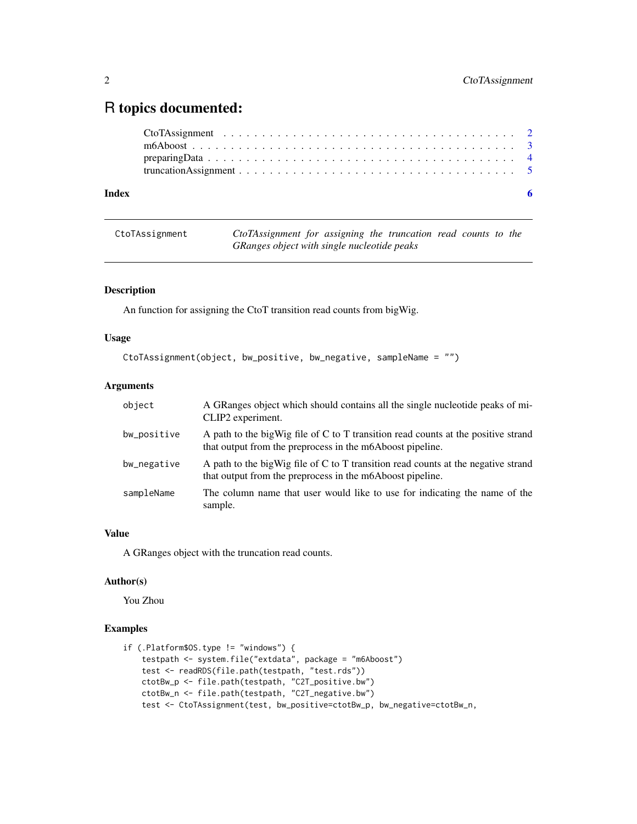### <span id="page-1-0"></span>R topics documented:

| Index | - 6 |
|-------|-----|

CtoTAssignment *CtoTAssignment for assigning the truncation read counts to the GRanges object with single nucleotide peaks*

#### Description

An function for assigning the CtoT transition read counts from bigWig.

#### Usage

```
CtoTAssignment(object, bw_positive, bw_negative, sampleName = "")
```
#### Arguments

| object      | A GRanges object which should contains all the single nucleotide peaks of mi-<br>CLIP2 experiment.                                             |
|-------------|------------------------------------------------------------------------------------------------------------------------------------------------|
| bw_positive | A path to the bigWig file of C to T transition read counts at the positive strand<br>that output from the preprocess in the m6Aboost pipeline. |
| bw_negative | A path to the bigWig file of C to T transition read counts at the negative strand<br>that output from the preprocess in the m6Aboost pipeline. |
| sampleName  | The column name that user would like to use for indicating the name of the<br>sample.                                                          |

#### Value

A GRanges object with the truncation read counts.

#### Author(s)

You Zhou

#### Examples

```
if (.Platform$OS.type != "windows") {
   testpath <- system.file("extdata", package = "m6Aboost")
   test <- readRDS(file.path(testpath, "test.rds"))
    ctotBw_p <- file.path(testpath, "C2T_positive.bw")
    ctotBw_n <- file.path(testpath, "C2T_negative.bw")
   test <- CtoTAssignment(test, bw_positive=ctotBw_p, bw_negative=ctotBw_n,
```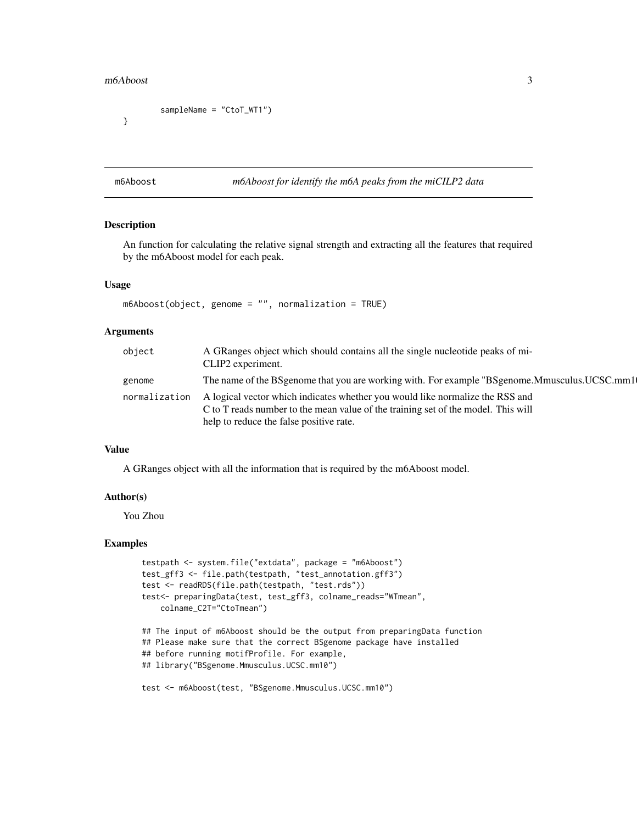#### <span id="page-2-0"></span> $m6A$ boost  $3$

```
sampleName = "CtoT_WT1")
```
}

m6Aboost *m6Aboost for identify the m6A peaks from the miCILP2 data*

#### Description

An function for calculating the relative signal strength and extracting all the features that required by the m6Aboost model for each peak.

#### Usage

```
m6Aboost(object, genome = "", normalization = TRUE)
```
#### Arguments

| object        | A GRanges object which should contains all the single nucleotide peaks of mi-<br>CLIP2 experiment.                                                                                                            |
|---------------|---------------------------------------------------------------------------------------------------------------------------------------------------------------------------------------------------------------|
| genome        | The name of the BS genome that you are working with. For example "BS genome. Mmusculus. UCSC.mm1                                                                                                              |
| normalization | A logical vector which indicates whether you would like normalize the RSS and<br>C to T reads number to the mean value of the training set of the model. This will<br>help to reduce the false positive rate. |

#### Value

A GRanges object with all the information that is required by the m6Aboost model.

#### Author(s)

You Zhou

#### Examples

```
testpath <- system.file("extdata", package = "m6Aboost")
test_gff3 <- file.path(testpath, "test_annotation.gff3")
test <- readRDS(file.path(testpath, "test.rds"))
test<- preparingData(test, test_gff3, colname_reads="WTmean",
    colname_C2T="CtoTmean")
## The input of m6Aboost should be the output from preparingData function
```
## Please make sure that the correct BSgenome package have installed ## before running motifProfile. For example, ## library("BSgenome.Mmusculus.UCSC.mm10")

test <- m6Aboost(test, "BSgenome.Mmusculus.UCSC.mm10")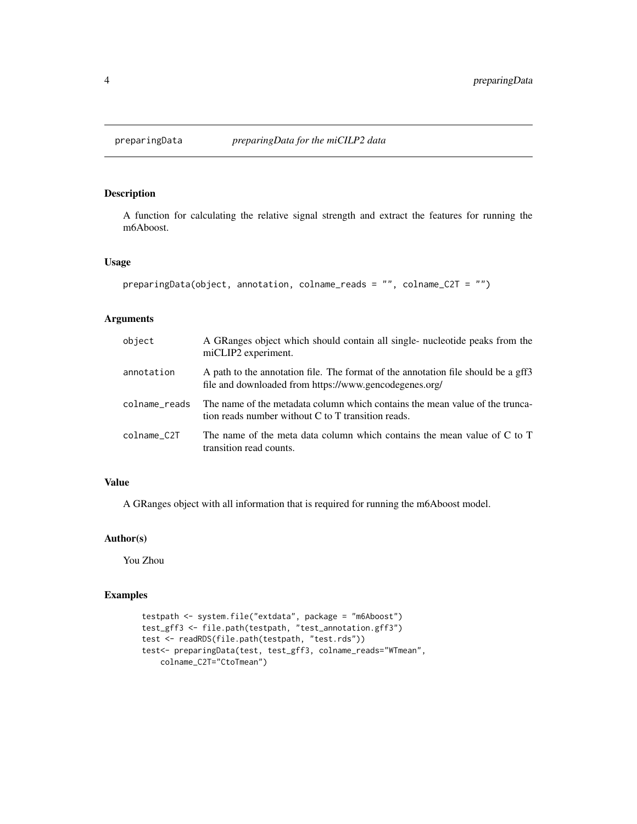#### <span id="page-3-0"></span>Description

A function for calculating the relative signal strength and extract the features for running the m6Aboost.

#### Usage

```
preparingData(object, annotation, colname_reads = "", colname_C2T = "")
```
#### Arguments

| object        | A GRanges object which should contain all single- nucleotide peaks from the<br>miCLIP2 experiment.                                          |
|---------------|---------------------------------------------------------------------------------------------------------------------------------------------|
| annotation    | A path to the annotation file. The format of the annotation file should be a gff3<br>file and downloaded from https://www.gencodegenes.org/ |
| colname reads | The name of the metadata column which contains the mean value of the trunca-<br>tion reads number without C to T transition reads.          |
| colname C2T   | The name of the meta data column which contains the mean value of C to T<br>transition read counts.                                         |

#### Value

A GRanges object with all information that is required for running the m6Aboost model.

#### Author(s)

You Zhou

#### Examples

```
testpath <- system.file("extdata", package = "m6Aboost")
test_gff3 <- file.path(testpath, "test_annotation.gff3")
test <- readRDS(file.path(testpath, "test.rds"))
test<- preparingData(test, test_gff3, colname_reads="WTmean",
   colname_C2T="CtoTmean")
```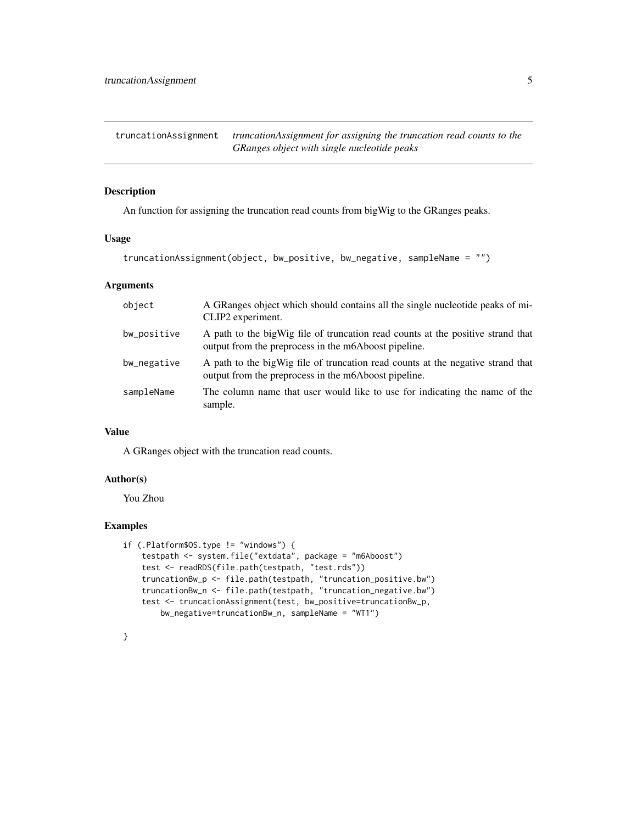<span id="page-4-0"></span>truncationAssignment *truncationAssignment for assigning the truncation read counts to the GRanges object with single nucleotide peaks*

#### Description

An function for assigning the truncation read counts from bigWig to the GRanges peaks.

#### Usage

truncationAssignment(object, bw\_positive, bw\_negative, sampleName = "")

#### Arguments

| object      | A GRanges object which should contains all the single nucleotide peaks of mi-<br>CLIP2 experiment.                                       |
|-------------|------------------------------------------------------------------------------------------------------------------------------------------|
| bw_positive | A path to the big Wig file of truncation read counts at the positive strand that<br>output from the preprocess in the m6Aboost pipeline. |
| bw_negative | A path to the bigWig file of truncation read counts at the negative strand that<br>output from the preprocess in the m6Aboost pipeline.  |
| sampleName  | The column name that user would like to use for indicating the name of the<br>sample.                                                    |

#### Value

A GRanges object with the truncation read counts.

#### Author(s)

You Zhou

#### Examples

```
if (.Platform$OS.type != "windows") {
    testpath <- system.file("extdata", package = "m6Aboost")
   test <- readRDS(file.path(testpath, "test.rds"))
   truncationBw_p <- file.path(testpath, "truncation_positive.bw")
    truncationBw_n <- file.path(testpath, "truncation_negative.bw")
    test <- truncationAssignment(test, bw_positive=truncationBw_p,
       bw_negative=truncationBw_n, sampleName = "WT1")
```